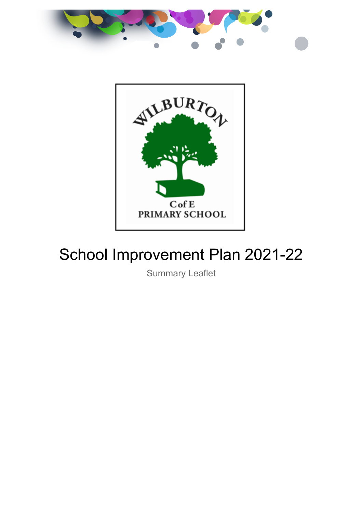



# School Improvement Plan 2021-22

Summary Leaflet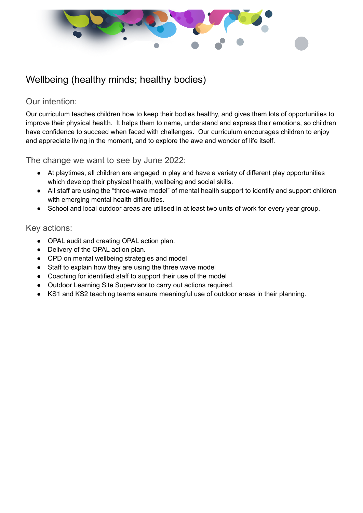

## Wellbeing (healthy minds; healthy bodies)

### Our intention:

Our curriculum teaches children how to keep their bodies healthy, and gives them lots of opportunities to improve their physical health. It helps them to name, understand and express their emotions, so children have confidence to succeed when faced with challenges. Our curriculum encourages children to enjoy and appreciate living in the moment, and to explore the awe and wonder of life itself.

The change we want to see by June 2022:

- At playtimes, all children are engaged in play and have a variety of different play opportunities which develop their physical health, wellbeing and social skills.
- All staff are using the "three-wave model" of mental health support to identify and support children with emerging mental health difficulties.
- School and local outdoor areas are utilised in at least two units of work for every year group.

#### Key actions:

- OPAL audit and creating OPAL action plan.
- Delivery of the OPAL action plan.
- CPD on mental wellbeing strategies and model
- Staff to explain how they are using the three wave model
- Coaching for identified staff to support their use of the model
- Outdoor Learning Site Supervisor to carry out actions required.
- KS1 and KS2 teaching teams ensure meaningful use of outdoor areas in their planning.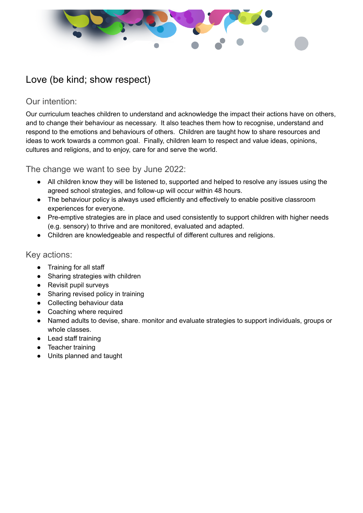

## Love (be kind; show respect)

## Our intention:

Our curriculum teaches children to understand and acknowledge the impact their actions have on others, and to change their behaviour as necessary. It also teaches them how to recognise, understand and respond to the emotions and behaviours of others. Children are taught how to share resources and ideas to work towards a common goal. Finally, children learn to respect and value ideas, opinions, cultures and religions, and to enjoy, care for and serve the world.

The change we want to see by June 2022:

- All children know they will be listened to, supported and helped to resolve any issues using the agreed school strategies, and follow-up will occur within 48 hours.
- The behaviour policy is always used efficiently and effectively to enable positive classroom experiences for everyone.
- Pre-emptive strategies are in place and used consistently to support children with higher needs (e.g. sensory) to thrive and are monitored, evaluated and adapted.
- Children are knowledgeable and respectful of different cultures and religions.

#### Key actions:

- Training for all staff
- Sharing strategies with children
- Revisit pupil surveys
- Sharing revised policy in training
- Collecting behaviour data
- Coaching where required
- Named adults to devise, share. monitor and evaluate strategies to support individuals, groups or whole classes.
- Lead staff training
- Teacher training
- Units planned and taught